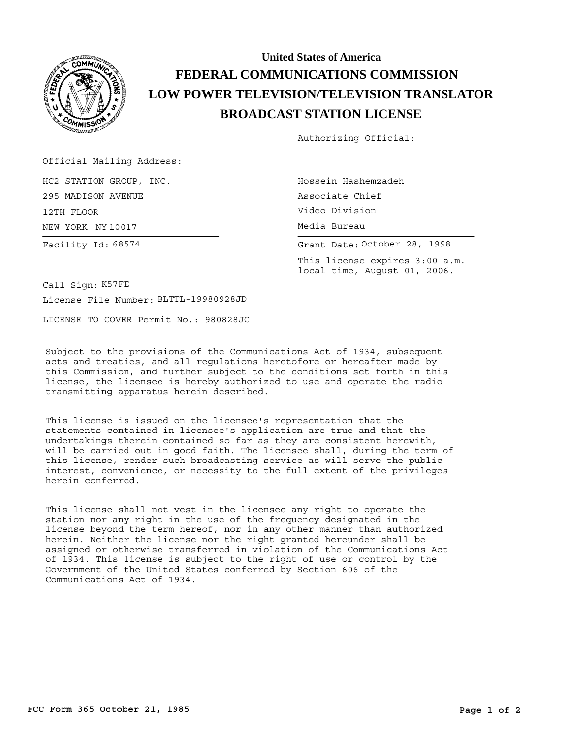

## **BROADCAST STATION LICENSE LOW POWER TELEVISION/TELEVISION TRANSLATOR FEDERAL COMMUNICATIONS COMMISSION United States of America**

Authorizing Official:

Official Mailing Address:

NEW YORK NY 10017 HC2 STATION GROUP, INC. 295 MADISON AVENUE 12TH FLOOR Facility Id: 68574

Hossein Hashemzadeh Associate Chief Video Division Media Bureau

Grant Date: October 28, 1998

This license expires 3:00 a.m. local time, August 01, 2006.

Call Sign: K57FE

License File Number: BLTTL-19980928JD

LICENSE TO COVER Permit No.: 980828JC

Subject to the provisions of the Communications Act of 1934, subsequent acts and treaties, and all regulations heretofore or hereafter made by this Commission, and further subject to the conditions set forth in this license, the licensee is hereby authorized to use and operate the radio transmitting apparatus herein described.

This license is issued on the licensee's representation that the statements contained in licensee's application are true and that the undertakings therein contained so far as they are consistent herewith, will be carried out in good faith. The licensee shall, during the term of this license, render such broadcasting service as will serve the public interest, convenience, or necessity to the full extent of the privileges herein conferred.

This license shall not vest in the licensee any right to operate the station nor any right in the use of the frequency designated in the license beyond the term hereof, nor in any other manner than authorized herein. Neither the license nor the right granted hereunder shall be assigned or otherwise transferred in violation of the Communications Act of 1934. This license is subject to the right of use or control by the Government of the United States conferred by Section 606 of the Communications Act of 1934.